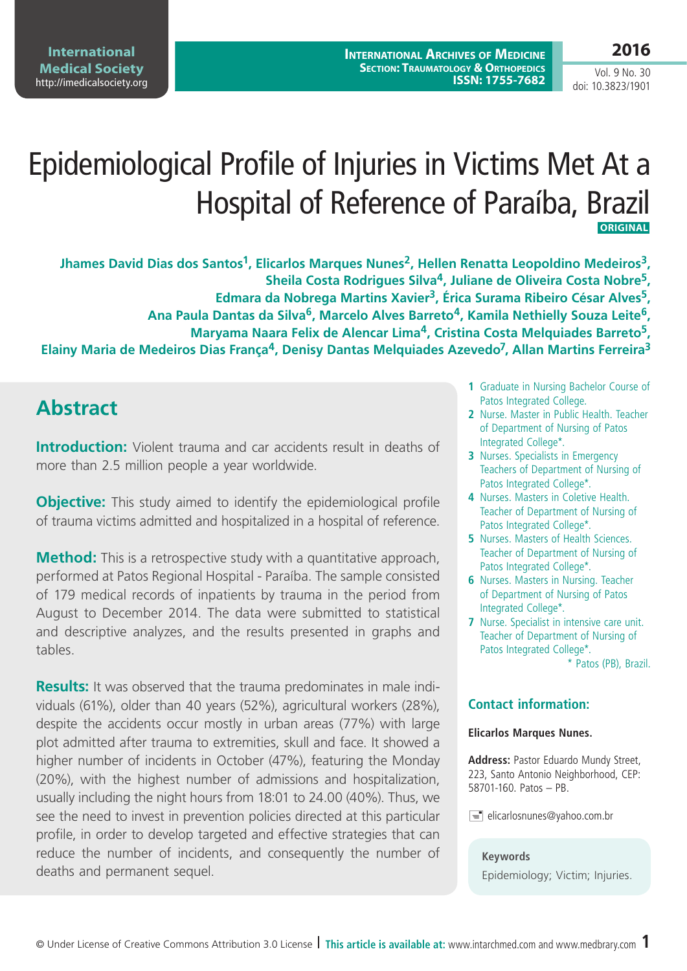**International Archives of Medicine SECTION: TRAUMATOLOGY & ORTHOPEDICS ISSN: 1755-7682**

### **2016**

Vol. 9 No. 30 doi: 10.3823/1901

# Epidemiological Profile of Injuries in Victims Met At a Hospital of Reference of Paraíba, Brazil  **Original**

Jhames David Dias dos Santos<sup>1</sup>, Elicarlos Marques Nunes<sup>2</sup>, Hellen Renatta Leopoldino Medeiros<sup>3</sup>, **Sheila Costa Rodrigues Silva4, Juliane de Oliveira Costa Nobre5, Edmara da Nobrega Martins Xavier3, Érica Surama Ribeiro César Alves5, Ana Paula Dantas da Silva6, Marcelo Alves Barreto4, Kamila Nethielly Souza Leite6, Maryama Naara Felix de Alencar Lima4, Cristina Costa Melquiades Barreto5, Elainy Maria de Medeiros Dias França4, Denisy Dantas Melquiades Azevedo7, Allan Martins Ferreira3**

# **Abstract**

**Introduction:** Violent trauma and car accidents result in deaths of more than 2.5 million people a year worldwide.

**Objective:** This study aimed to identify the epidemiological profile of trauma victims admitted and hospitalized in a hospital of reference.

**Method:** This is a retrospective study with a quantitative approach, performed at Patos Regional Hospital - Paraíba. The sample consisted of 179 medical records of inpatients by trauma in the period from August to December 2014. The data were submitted to statistical and descriptive analyzes, and the results presented in graphs and tables.

**Results:** It was observed that the trauma predominates in male individuals (61%), older than 40 years (52%), agricultural workers (28%), despite the accidents occur mostly in urban areas (77%) with large plot admitted after trauma to extremities, skull and face. It showed a higher number of incidents in October (47%), featuring the Monday (20%), with the highest number of admissions and hospitalization, usually including the night hours from 18:01 to 24.00 (40%). Thus, we see the need to invest in prevention policies directed at this particular profile, in order to develop targeted and effective strategies that can reduce the number of incidents, and consequently the number of deaths and permanent sequel.

- **1** Graduate in Nursing Bachelor Course of Patos Integrated College.
- **2** Nurse. Master in Public Health. Teacher of Department of Nursing of Patos Integrated College\*.
- **3** Nurses. Specialists in Emergency Teachers of Department of Nursing of Patos Integrated College\*.
- **4** Nurses. Masters in Coletive Health. Teacher of Department of Nursing of Patos Integrated College\*.
- **5** Nurses. Masters of Health Sciences. Teacher of Department of Nursing of Patos Integrated College\*.
- **6** Nurses. Masters in Nursing. Teacher of Department of Nursing of Patos Integrated College\*.
- **7** Nurse. Specialist in intensive care unit. Teacher of Department of Nursing of Patos Integrated College\*.

\* Patos (PB), Brazil.

### **Contact information:**

#### **Elicarlos Marques Nunes.**

**Address:** Pastor Eduardo Mundy Street, 223, Santo Antonio Neighborhood, CEP: 58701-160. Patos – PB.

 $\equiv$  elicarlosnunes@yahoo.com.br

#### **Keywords**

Epidemiology; Victim; Injuries.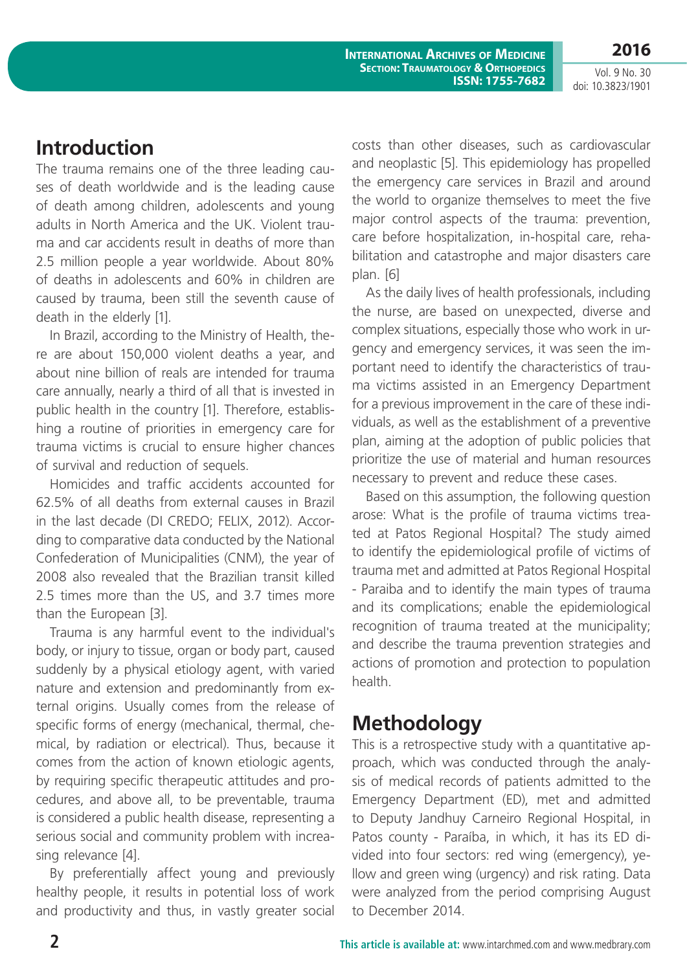**2016**

### **Introduction**

The trauma remains one of the three leading causes of death worldwide and is the leading cause of death among children, adolescents and young adults in North America and the UK. Violent trauma and car accidents result in deaths of more than 2.5 million people a year worldwide. About 80% of deaths in adolescents and 60% in children are caused by trauma, been still the seventh cause of death in the elderly [1].

In Brazil, according to the Ministry of Health, there are about 150,000 violent deaths a year, and about nine billion of reals are intended for trauma care annually, nearly a third of all that is invested in public health in the country [1]. Therefore, establishing a routine of priorities in emergency care for trauma victims is crucial to ensure higher chances of survival and reduction of sequels.

Homicides and traffic accidents accounted for 62.5% of all deaths from external causes in Brazil in the last decade (DI CREDO; FELIX, 2012). According to comparative data conducted by the National Confederation of Municipalities (CNM), the year of 2008 also revealed that the Brazilian transit killed 2.5 times more than the US, and 3.7 times more than the European [3].

Trauma is any harmful event to the individual's body, or injury to tissue, organ or body part, caused suddenly by a physical etiology agent, with varied nature and extension and predominantly from external origins. Usually comes from the release of specific forms of energy (mechanical, thermal, chemical, by radiation or electrical). Thus, because it comes from the action of known etiologic agents, by requiring specific therapeutic attitudes and procedures, and above all, to be preventable, trauma is considered a public health disease, representing a serious social and community problem with increasing relevance [4].

By preferentially affect young and previously healthy people, it results in potential loss of work and productivity and thus, in vastly greater social costs than other diseases, such as cardiovascular and neoplastic [5]. This epidemiology has propelled the emergency care services in Brazil and around the world to organize themselves to meet the five major control aspects of the trauma: prevention, care before hospitalization, in-hospital care, rehabilitation and catastrophe and major disasters care plan. [6]

As the daily lives of health professionals, including the nurse, are based on unexpected, diverse and complex situations, especially those who work in urgency and emergency services, it was seen the important need to identify the characteristics of trauma victims assisted in an Emergency Department for a previous improvement in the care of these individuals, as well as the establishment of a preventive plan, aiming at the adoption of public policies that prioritize the use of material and human resources necessary to prevent and reduce these cases.

Based on this assumption, the following question arose: What is the profile of trauma victims treated at Patos Regional Hospital? The study aimed to identify the epidemiological profile of victims of trauma met and admitted at Patos Regional Hospital - Paraiba and to identify the main types of trauma and its complications; enable the epidemiological recognition of trauma treated at the municipality; and describe the trauma prevention strategies and actions of promotion and protection to population health.

# **Methodology**

This is a retrospective study with a quantitative approach, which was conducted through the analysis of medical records of patients admitted to the Emergency Department (ED), met and admitted to Deputy Jandhuy Carneiro Regional Hospital, in Patos county - Paraíba, in which, it has its ED divided into four sectors: red wing (emergency), yellow and green wing (urgency) and risk rating. Data were analyzed from the period comprising August to December 2014.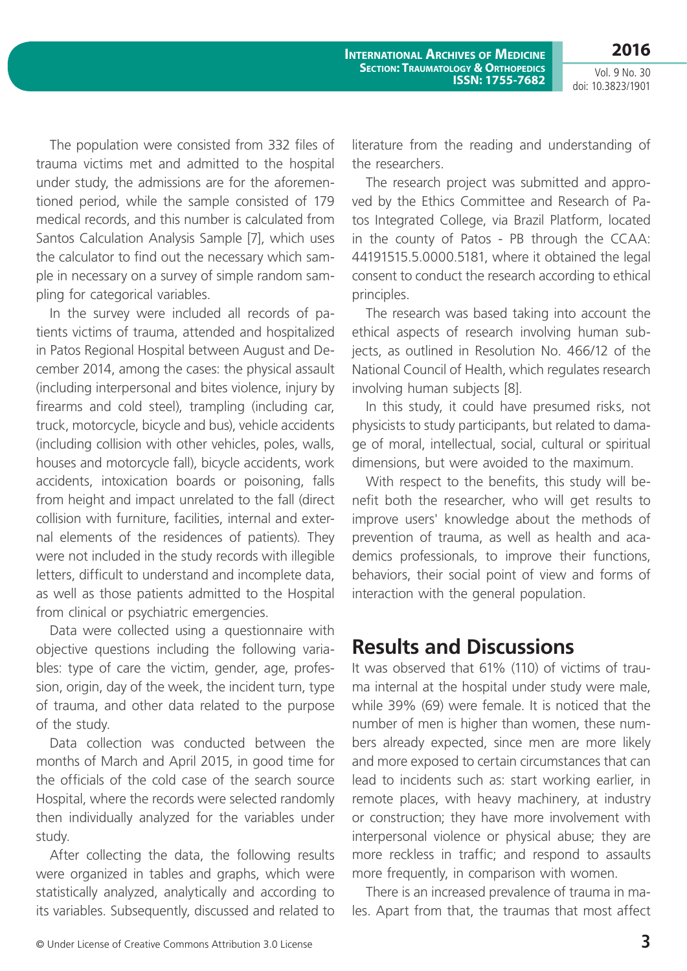**2016**

Vol. 9 No. 30 doi: 10.3823/1901

The population were consisted from 332 files of trauma victims met and admitted to the hospital under study, the admissions are for the aforementioned period, while the sample consisted of 179 medical records, and this number is calculated from Santos Calculation Analysis Sample [7], which uses the calculator to find out the necessary which sample in necessary on a survey of simple random sampling for categorical variables.

In the survey were included all records of patients victims of trauma, attended and hospitalized in Patos Regional Hospital between August and December 2014, among the cases: the physical assault (including interpersonal and bites violence, injury by firearms and cold steel), trampling (including car, truck, motorcycle, bicycle and bus), vehicle accidents (including collision with other vehicles, poles, walls, houses and motorcycle fall), bicycle accidents, work accidents, intoxication boards or poisoning, falls from height and impact unrelated to the fall (direct collision with furniture, facilities, internal and external elements of the residences of patients). They were not included in the study records with illegible letters, difficult to understand and incomplete data, as well as those patients admitted to the Hospital from clinical or psychiatric emergencies.

Data were collected using a questionnaire with objective questions including the following variables: type of care the victim, gender, age, profession, origin, day of the week, the incident turn, type of trauma, and other data related to the purpose of the study.

Data collection was conducted between the months of March and April 2015, in good time for the officials of the cold case of the search source Hospital, where the records were selected randomly then individually analyzed for the variables under study.

After collecting the data, the following results were organized in tables and graphs, which were statistically analyzed, analytically and according to its variables. Subsequently, discussed and related to literature from the reading and understanding of the researchers.

The research project was submitted and approved by the Ethics Committee and Research of Patos Integrated College, via Brazil Platform, located in the county of Patos - PB through the CCAA: 44191515.5.0000.5181, where it obtained the legal consent to conduct the research according to ethical principles.

The research was based taking into account the ethical aspects of research involving human subjects, as outlined in Resolution No. 466/12 of the National Council of Health, which regulates research involving human subjects [8].

In this study, it could have presumed risks, not physicists to study participants, but related to damage of moral, intellectual, social, cultural or spiritual dimensions, but were avoided to the maximum.

With respect to the benefits, this study will benefit both the researcher, who will get results to improve users' knowledge about the methods of prevention of trauma, as well as health and academics professionals, to improve their functions, behaviors, their social point of view and forms of interaction with the general population.

# **Results and Discussions**

It was observed that 61% (110) of victims of trauma internal at the hospital under study were male, while 39% (69) were female. It is noticed that the number of men is higher than women, these numbers already expected, since men are more likely and more exposed to certain circumstances that can lead to incidents such as: start working earlier, in remote places, with heavy machinery, at industry or construction; they have more involvement with interpersonal violence or physical abuse; they are more reckless in traffic; and respond to assaults more frequently, in comparison with women.

There is an increased prevalence of trauma in males. Apart from that, the traumas that most affect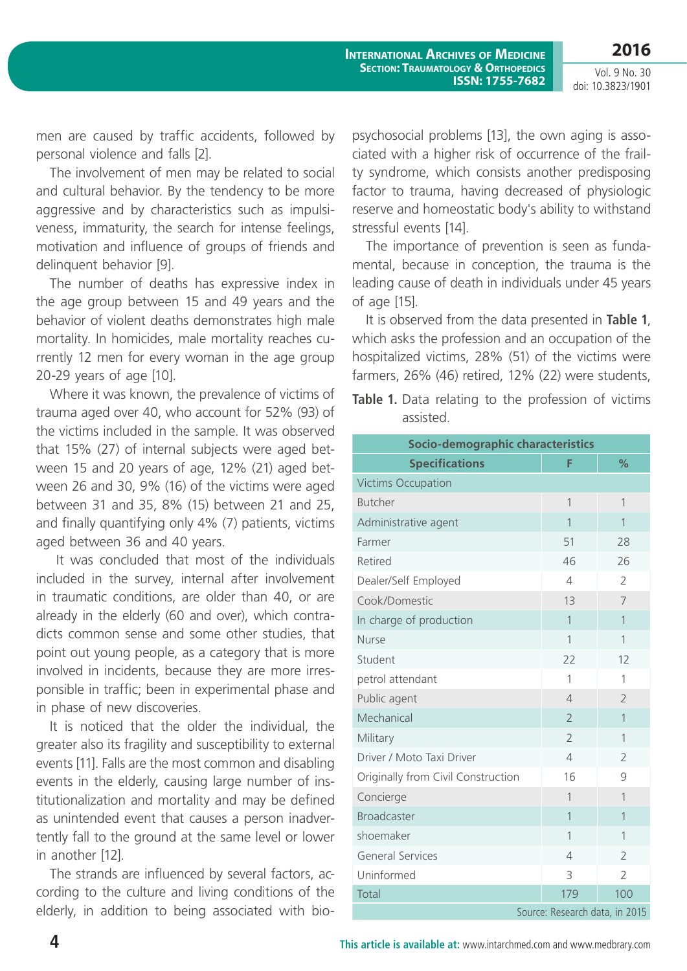men are caused by traffic accidents, followed by personal violence and falls [2].

The involvement of men may be related to social and cultural behavior. By the tendency to be more aggressive and by characteristics such as impulsiveness, immaturity, the search for intense feelings, motivation and influence of groups of friends and delinquent behavior [9].

The number of deaths has expressive index in the age group between 15 and 49 years and the behavior of violent deaths demonstrates high male mortality. In homicides, male mortality reaches currently 12 men for every woman in the age group 20-29 years of age [10].

Where it was known, the prevalence of victims of trauma aged over 40, who account for 52% (93) of the victims included in the sample. It was observed that 15% (27) of internal subjects were aged between 15 and 20 years of age, 12% (21) aged between 26 and 30, 9% (16) of the victims were aged between 31 and 35, 8% (15) between 21 and 25, and finally quantifying only 4% (7) patients, victims aged between 36 and 40 years.

 It was concluded that most of the individuals included in the survey, internal after involvement in traumatic conditions, are older than 40, or are already in the elderly (60 and over), which contradicts common sense and some other studies, that point out young people, as a category that is more involved in incidents, because they are more irresponsible in traffic; been in experimental phase and in phase of new discoveries.

It is noticed that the older the individual, the greater also its fragility and susceptibility to external events [11]. Falls are the most common and disabling events in the elderly, causing large number of institutionalization and mortality and may be defined as unintended event that causes a person inadvertently fall to the ground at the same level or lower in another [12].

The strands are influenced by several factors, according to the culture and living conditions of the elderly, in addition to being associated with biopsychosocial problems [13], the own aging is associated with a higher risk of occurrence of the frailty syndrome, which consists another predisposing factor to trauma, having decreased of physiologic reserve and homeostatic body's ability to withstand stressful events [14].

The importance of prevention is seen as fundamental, because in conception, the trauma is the leading cause of death in individuals under 45 years of age [15].

It is observed from the data presented in **Table 1**, which asks the profession and an occupation of the hospitalized victims, 28% (51) of the victims were farmers, 26% (46) retired, 12% (22) were students,

**Table 1.** Data relating to the profession of victims assisted.

| <b>Socio-demographic characteristics</b> |                          |                |  |
|------------------------------------------|--------------------------|----------------|--|
| <b>Specifications</b>                    | F                        | %              |  |
| <b>Victims Occupation</b>                |                          |                |  |
| <b>Butcher</b>                           | 1                        | 1              |  |
| Administrative agent                     | 1                        | $\mathbf{1}$   |  |
| Farmer                                   | 51                       | 28             |  |
| Retired                                  | 46                       | 26             |  |
| Dealer/Self Employed                     | $\overline{4}$           | $\overline{2}$ |  |
| Cook/Domestic                            | 13                       | 7              |  |
| In charge of production                  | $\mathbf{1}$             | 1              |  |
| <b>Nurse</b>                             | $\mathbf{1}$             | $\mathbf{1}$   |  |
| Student                                  | 22                       | 12             |  |
| petrol attendant                         | 1                        | 1              |  |
| Public agent                             | $\overline{\mathcal{L}}$ | $\overline{2}$ |  |
| Mechanical                               | $\overline{2}$           | 1              |  |
| Military                                 | $\overline{2}$           | 1              |  |
| Driver / Moto Taxi Driver                | $\overline{4}$           | $\overline{2}$ |  |
| Originally from Civil Construction       | 16                       | 9              |  |
| Concierge                                | $\mathbf{1}$             | 1              |  |
| <b>Broadcaster</b>                       | $\mathbf{1}$             | $\mathbf{1}$   |  |
| shoemaker                                | $\overline{1}$           | $\overline{1}$ |  |
| <b>General Services</b>                  | 4                        | $\overline{2}$ |  |
| Uninformed                               | 3                        | $\overline{2}$ |  |
| Total                                    | 179                      | 100            |  |
| Source: Research data, in 2015           |                          |                |  |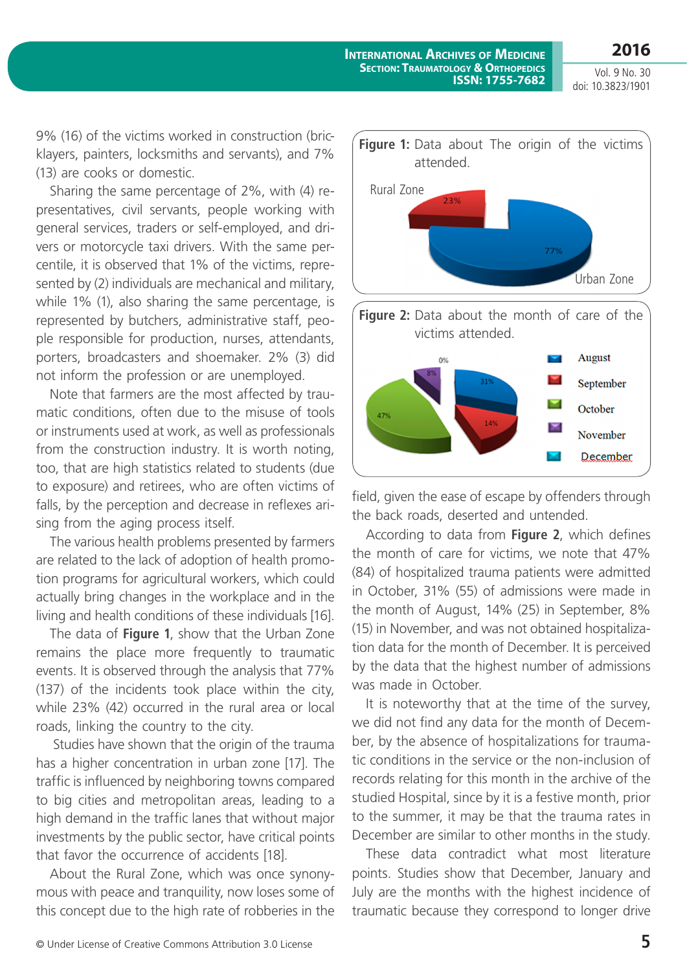9% (16) of the victims worked in construction (bricklayers, painters, locksmiths and servants), and 7% (13) are cooks or domestic.

Sharing the same percentage of 2%, with (4) representatives, civil servants, people working with general services, traders or self-employed, and drivers or motorcycle taxi drivers. With the same percentile, it is observed that 1% of the victims, represented by (2) individuals are mechanical and military, while 1% (1), also sharing the same percentage, is represented by butchers, administrative staff, people responsible for production, nurses, attendants, porters, broadcasters and shoemaker. 2% (3) did not inform the profession or are unemployed.

Note that farmers are the most affected by traumatic conditions, often due to the misuse of tools or instruments used at work, as well as professionals from the construction industry. It is worth noting, too, that are high statistics related to students (due to exposure) and retirees, who are often victims of falls, by the perception and decrease in reflexes arising from the aging process itself.

The various health problems presented by farmers are related to the lack of adoption of health promotion programs for agricultural workers, which could actually bring changes in the workplace and in the living and health conditions of these individuals [16].

The data of **Figure 1**, show that the Urban Zone remains the place more frequently to traumatic events. It is observed through the analysis that 77% (137) of the incidents took place within the city, while 23% (42) occurred in the rural area or local roads, linking the country to the city.

 Studies have shown that the origin of the trauma has a higher concentration in urban zone [17]. The traffic is influenced by neighboring towns compared to big cities and metropolitan areas, leading to a high demand in the traffic lanes that without major investments by the public sector, have critical points that favor the occurrence of accidents [18].

About the Rural Zone, which was once synonymous with peace and tranquility, now loses some of this concept due to the high rate of robberies in the



field, given the ease of escape by offenders through the back roads, deserted and untended.

According to data from **Figure 2**, which defines the month of care for victims, we note that 47% (84) of hospitalized trauma patients were admitted in October, 31% (55) of admissions were made in the month of August, 14% (25) in September, 8% (15) in November, and was not obtained hospitalization data for the month of December. It is perceived by the data that the highest number of admissions was made in October.

It is noteworthy that at the time of the survey, we did not find any data for the month of December, by the absence of hospitalizations for traumatic conditions in the service or the non-inclusion of records relating for this month in the archive of the studied Hospital, since by it is a festive month, prior to the summer, it may be that the trauma rates in December are similar to other months in the study.

These data contradict what most literature points. Studies show that December, January and July are the months with the highest incidence of traumatic because they correspond to longer drive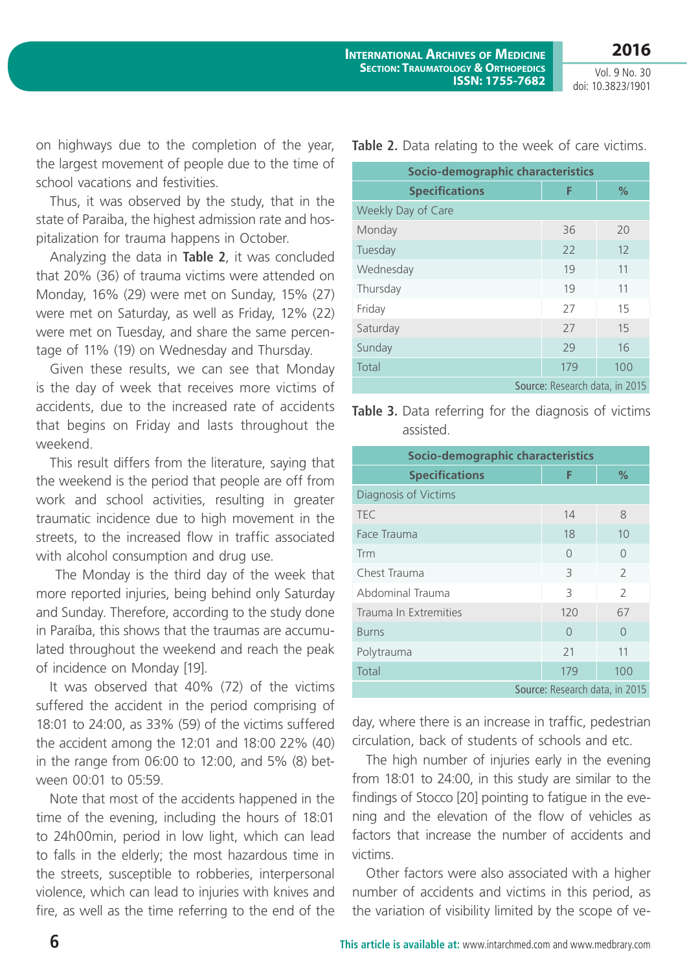on highways due to the completion of the year, the largest movement of people due to the time of school vacations and festivities.

Thus, it was observed by the study, that in the state of Paraiba, the highest admission rate and hospitalization for trauma happens in October.

Analyzing the data in **Table 2**, it was concluded that 20% (36) of trauma victims were attended on Monday, 16% (29) were met on Sunday, 15% (27) were met on Saturday, as well as Friday, 12% (22) were met on Tuesday, and share the same percentage of 11% (19) on Wednesday and Thursday.

Given these results, we can see that Monday is the day of week that receives more victims of accidents, due to the increased rate of accidents that begins on Friday and lasts throughout the weekend.

This result differs from the literature, saying that the weekend is the period that people are off from work and school activities, resulting in greater traumatic incidence due to high movement in the streets, to the increased flow in traffic associated with alcohol consumption and drug use.

 The Monday is the third day of the week that more reported injuries, being behind only Saturday and Sunday. Therefore, according to the study done in Paraíba, this shows that the traumas are accumulated throughout the weekend and reach the peak of incidence on Monday [19].

It was observed that 40% (72) of the victims suffered the accident in the period comprising of 18:01 to 24:00, as 33% (59) of the victims suffered the accident among the 12:01 and 18:00 22% (40) in the range from 06:00 to 12:00, and 5% (8) between 00:01 to 05:59.

Note that most of the accidents happened in the time of the evening, including the hours of 18:01 to 24h00min, period in low light, which can lead to falls in the elderly; the most hazardous time in the streets, susceptible to robberies, interpersonal violence, which can lead to injuries with knives and fire, as well as the time referring to the end of the **Table 2.** Data relating to the week of care victims.

| Socio-demographic characteristics |     |               |  |  |
|-----------------------------------|-----|---------------|--|--|
| <b>Specifications</b>             | F   | $\frac{9}{6}$ |  |  |
| Weekly Day of Care                |     |               |  |  |
| Monday                            | 36  | 20            |  |  |
| Tuesday                           | 22  | 12            |  |  |
| Wednesday                         | 19  | 11            |  |  |
| Thursday                          | 19  | 11            |  |  |
| Friday                            | 27  | 15            |  |  |
| Saturday                          | 27  | 15            |  |  |
| Sunday                            | 29  | 16            |  |  |
| Total                             | 179 | 100           |  |  |
| Source: Research data, in 2015    |     |               |  |  |

**Table 3.** Data referring for the diagnosis of victims assisted.

| Socio-demographic characteristics                                                              |          |               |  |  |
|------------------------------------------------------------------------------------------------|----------|---------------|--|--|
| <b>Specifications</b>                                                                          | F        | $\%$          |  |  |
| Diagnosis of Victims                                                                           |          |               |  |  |
| <b>TEC</b>                                                                                     | 14       | 8             |  |  |
| Face Trauma                                                                                    | 18       | 10            |  |  |
| Trm                                                                                            | $\Omega$ | $\Omega$      |  |  |
| Chest Trauma                                                                                   | 3        | 2             |  |  |
| Abdominal Trauma                                                                               | 3        | $\mathcal{L}$ |  |  |
| Trauma In Extremities                                                                          | 120      | 67            |  |  |
| <b>Burns</b>                                                                                   | $\Omega$ | $\cap$        |  |  |
| Polytrauma                                                                                     | 21       | 11            |  |  |
| Total                                                                                          | 179      | 100           |  |  |
| $\sim$ $\sim$ $\sim$ $\sim$ $\sim$ $\sim$ $\sim$ $\sim$<br>$\cdot$ $\sim$ $\sim$ $\sim$ $\sim$ |          |               |  |  |

Source: Research data, in 2015

day, where there is an increase in traffic, pedestrian circulation, back of students of schools and etc.

The high number of injuries early in the evening from 18:01 to 24:00, in this study are similar to the findings of Stocco [20] pointing to fatigue in the evening and the elevation of the flow of vehicles as factors that increase the number of accidents and victims.

Other factors were also associated with a higher number of accidents and victims in this period, as the variation of visibility limited by the scope of ve-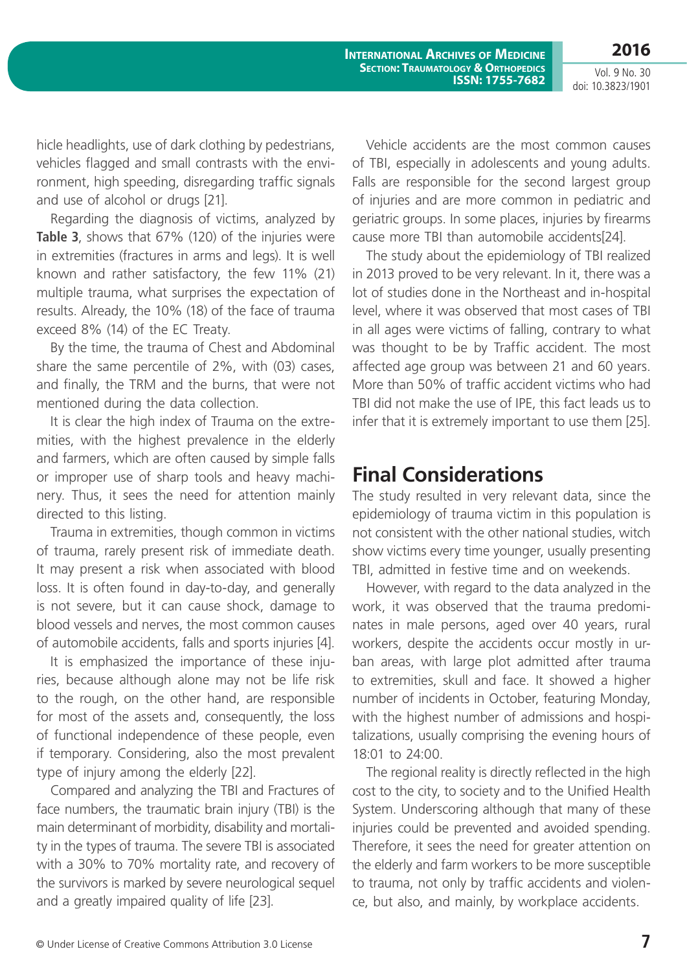**International Archives of Medicine SECTION: TRAUMATOLOGY & ORTHOPEDICS ISSN: 1755-7682**

Vol. 9 No. 30 doi: 10.3823/1901

**2016**

hicle headlights, use of dark clothing by pedestrians, vehicles flagged and small contrasts with the environment, high speeding, disregarding traffic signals and use of alcohol or drugs [21].

Regarding the diagnosis of victims, analyzed by **Table 3**, shows that 67% (120) of the injuries were in extremities (fractures in arms and legs). It is well known and rather satisfactory, the few 11% (21) multiple trauma, what surprises the expectation of results. Already, the 10% (18) of the face of trauma exceed 8% (14) of the EC Treaty.

By the time, the trauma of Chest and Abdominal share the same percentile of 2%, with (03) cases, and finally, the TRM and the burns, that were not mentioned during the data collection.

It is clear the high index of Trauma on the extremities, with the highest prevalence in the elderly and farmers, which are often caused by simple falls or improper use of sharp tools and heavy machinery. Thus, it sees the need for attention mainly directed to this listing.

Trauma in extremities, though common in victims of trauma, rarely present risk of immediate death. It may present a risk when associated with blood loss. It is often found in day-to-day, and generally is not severe, but it can cause shock, damage to blood vessels and nerves, the most common causes of automobile accidents, falls and sports injuries [4].

It is emphasized the importance of these injuries, because although alone may not be life risk to the rough, on the other hand, are responsible for most of the assets and, consequently, the loss of functional independence of these people, even if temporary. Considering, also the most prevalent type of injury among the elderly [22].

Compared and analyzing the TBI and Fractures of face numbers, the traumatic brain injury (TBI) is the main determinant of morbidity, disability and mortality in the types of trauma. The severe TBI is associated with a 30% to 70% mortality rate, and recovery of the survivors is marked by severe neurological sequel and a greatly impaired quality of life [23].

Vehicle accidents are the most common causes of TBI, especially in adolescents and young adults. Falls are responsible for the second largest group of injuries and are more common in pediatric and geriatric groups. In some places, injuries by firearms cause more TBI than automobile accidents[24].

The study about the epidemiology of TBI realized in 2013 proved to be very relevant. In it, there was a lot of studies done in the Northeast and in-hospital level, where it was observed that most cases of TBI in all ages were victims of falling, contrary to what was thought to be by Traffic accident. The most affected age group was between 21 and 60 years. More than 50% of traffic accident victims who had TBI did not make the use of IPE, this fact leads us to infer that it is extremely important to use them [25].

### **Final Considerations**

The study resulted in very relevant data, since the epidemiology of trauma victim in this population is not consistent with the other national studies, witch show victims every time younger, usually presenting TBI, admitted in festive time and on weekends.

However, with regard to the data analyzed in the work, it was observed that the trauma predominates in male persons, aged over 40 years, rural workers, despite the accidents occur mostly in urban areas, with large plot admitted after trauma to extremities, skull and face. It showed a higher number of incidents in October, featuring Monday, with the highest number of admissions and hospitalizations, usually comprising the evening hours of 18:01 to 24:00.

The regional reality is directly reflected in the high cost to the city, to society and to the Unified Health System. Underscoring although that many of these injuries could be prevented and avoided spending. Therefore, it sees the need for greater attention on the elderly and farm workers to be more susceptible to trauma, not only by traffic accidents and violence, but also, and mainly, by workplace accidents.